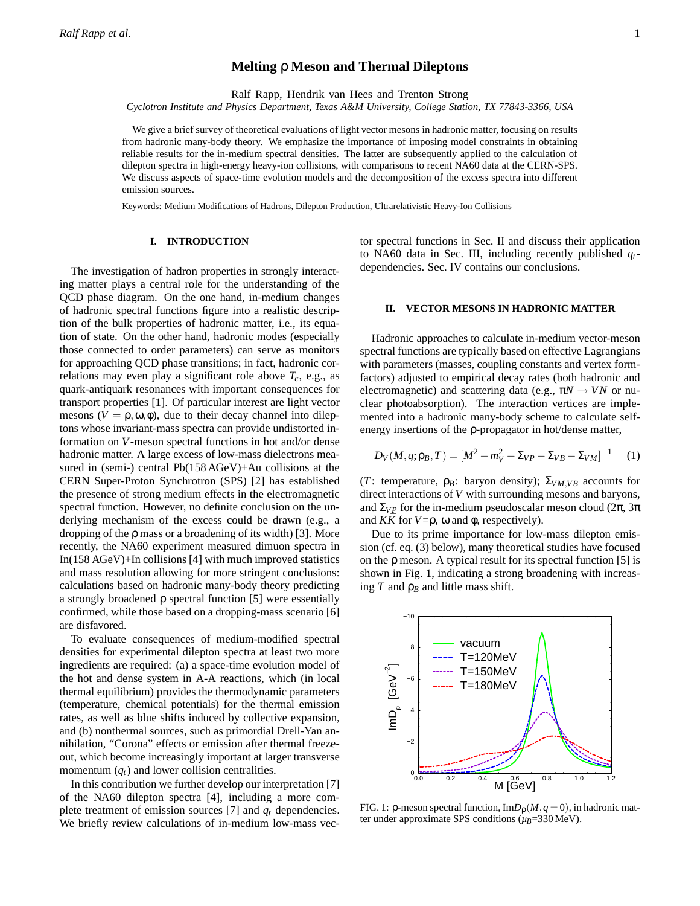# **Melting** ρ **Meson and Thermal Dileptons**

Ralf Rapp, Hendrik van Hees and Trenton Strong

*Cyclotron Institute and Physics Department, Texas A&M University, College Station, TX 77843-3366, USA*

We give a brief survey of theoretical evaluations of light vector mesons in hadronic matter, focusing on results from hadronic many-body theory. We emphasize the importance of imposing model constraints in obtaining reliable results for the in-medium spectral densities. The latter are subsequently applied to the calculation of dilepton spectra in high-energy heavy-ion collisions, with comparisons to recent NA60 data at the CERN-SPS. We discuss aspects of space-time evolution models and the decomposition of the excess spectra into different emission sources.

Keywords: Medium Modifications of Hadrons, Dilepton Production, Ultrarelativistic Heavy-Ion Collisions

### **I. INTRODUCTION**

The investigation of hadron properties in strongly interacting matter plays a central role for the understanding of the QCD phase diagram. On the one hand, in-medium changes of hadronic spectral functions figure into a realistic description of the bulk properties of hadronic matter, i.e., its equation of state. On the other hand, hadronic modes (especially those connected to order parameters) can serve as monitors for approaching QCD phase transitions; in fact, hadronic correlations may even play a significant role above  $T_c$ , e.g., as quark-antiquark resonances with important consequences for transport properties [1]. Of particular interest are light vector mesons  $(V = \rho, \omega, \phi)$ , due to their decay channel into dileptons whose invariant-mass spectra can provide undistorted information on *V*-meson spectral functions in hot and/or dense hadronic matter. A large excess of low-mass dielectrons measured in (semi-) central Pb(158 AGeV)+Au collisions at the CERN Super-Proton Synchrotron (SPS) [2] has established the presence of strong medium effects in the electromagnetic spectral function. However, no definite conclusion on the underlying mechanism of the excess could be drawn (e.g., a dropping of the ρ mass or a broadening of its width) [3]. More recently, the NA60 experiment measured dimuon spectra in In(158 AGeV)+In collisions [4] with much improved statistics and mass resolution allowing for more stringent conclusions: calculations based on hadronic many-body theory predicting a strongly broadened ρ spectral function [5] were essentially confirmed, while those based on a dropping-mass scenario [6] are disfavored.

To evaluate consequences of medium-modified spectral densities for experimental dilepton spectra at least two more ingredients are required: (a) a space-time evolution model of the hot and dense system in A-A reactions, which (in local thermal equilibrium) provides the thermodynamic parameters (temperature, chemical potentials) for the thermal emission rates, as well as blue shifts induced by collective expansion, and (b) nonthermal sources, such as primordial Drell-Yan annihilation, "Corona" effects or emission after thermal freezeout, which become increasingly important at larger transverse momentum  $(q_t)$  and lower collision centralities.

In this contribution we further develop our interpretation [7] of the NA60 dilepton spectra [4], including a more complete treatment of emission sources [7] and *q<sup>t</sup>* dependencies. We briefly review calculations of in-medium low-mass vector spectral functions in Sec. II and discuss their application to NA60 data in Sec. III, including recently published *qt*dependencies. Sec. IV contains our conclusions.

## **II. VECTOR MESONS IN HADRONIC MATTER**

Hadronic approaches to calculate in-medium vector-meson spectral functions are typically based on effective Lagrangians with parameters (masses, coupling constants and vertex formfactors) adjusted to empirical decay rates (both hadronic and electromagnetic) and scattering data (e.g.,  $\pi N \rightarrow VN$  or nuclear photoabsorption). The interaction vertices are implemented into a hadronic many-body scheme to calculate selfenergy insertions of the ρ-propagator in hot/dense matter,

$$
D_V(M, q; \rho_B, T) = [M^2 - m_V^2 - \Sigma_{VP} - \Sigma_{VB} - \Sigma_{VM}]^{-1}
$$
 (1)

(*T*: temperature,  $\rho_B$ : baryon density);  $\Sigma_{VM,VB}$  accounts for direct interactions of *V* with surrounding mesons and baryons, and  $\Sigma_{VP}$  for the in-medium pseudoscalar meson cloud (2π, 3π) and  $K\bar{K}$  for  $V = \rho$ ,  $\omega$  and  $\phi$ , respectively).

Due to its prime importance for low-mass dilepton emission (cf. eq. (3) below), many theoretical studies have focused on the  $\rho$  meson. A typical result for its spectral function [5] is shown in Fig. 1, indicating a strong broadening with increasing  $T$  and  $\rho_B$  and little mass shift.



FIG. 1:  $\rho$ -meson spectral function, Im $D_{\rho}(M, q=0)$ , in hadronic matter under approximate SPS conditions (*µB*=330 MeV).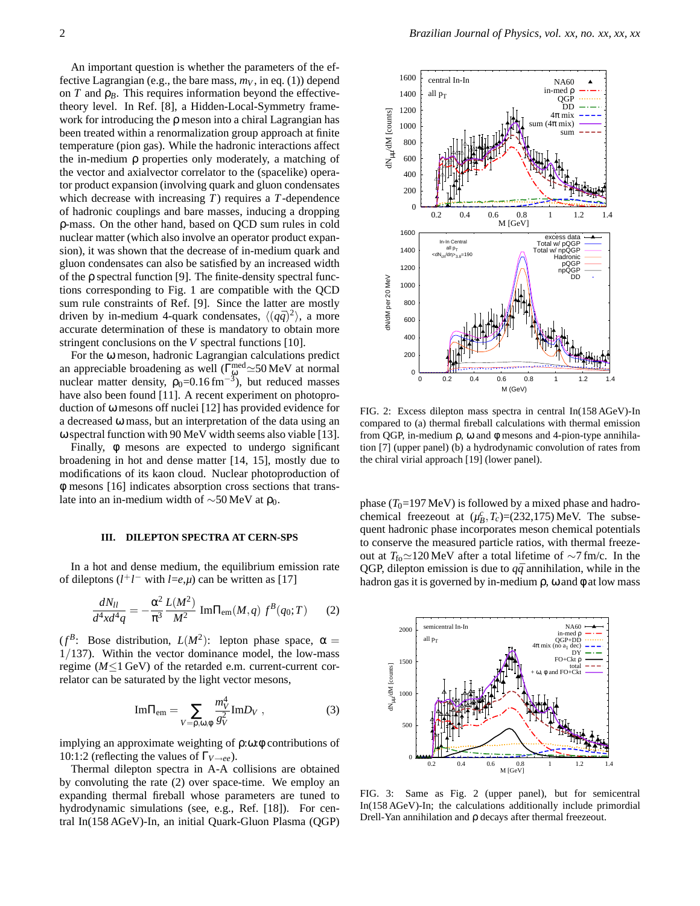An important question is whether the parameters of the effective Lagrangian (e.g., the bare mass,  $m_V$ , in eq. (1)) depend on  $T$  and  $\rho_B$ . This requires information beyond the effectivetheory level. In Ref. [8], a Hidden-Local-Symmetry framework for introducing the ρ meson into a chiral Lagrangian has been treated within a renormalization group approach at finite temperature (pion gas). While the hadronic interactions affect the in-medium ρ properties only moderately, a matching of the vector and axialvector correlator to the (spacelike) operator product expansion (involving quark and gluon condensates which decrease with increasing *T*) requires a *T*-dependence of hadronic couplings and bare masses, inducing a dropping ρ-mass. On the other hand, based on QCD sum rules in cold nuclear matter (which also involve an operator product expansion), it was shown that the decrease of in-medium quark and gluon condensates can also be satisfied by an increased width of the ρ spectral function [9]. The finite-density spectral functions corresponding to Fig. 1 are compatible with the QCD sum rule constraints of Ref. [9]. Since the latter are mostly driven by in-medium 4-quark condensates,  $\langle (q\bar{q})^2 \rangle$ , a more accurate determination of these is mandatory to obtain more stringent conclusions on the *V* spectral functions [10].

For the ω meson, hadronic Lagrangian calculations predict an appreciable broadening as well ( $\Gamma_{\phi}^{\text{med}} \simeq 50 \text{ MeV}$  at normal nuclear matter density,  $\rho_0 = 0.16 \text{ fm}^{-3}$ , but reduced masses have also been found [11]. A recent experiment on photoproduction of ω mesons off nuclei [12] has provided evidence for a decreased ω mass, but an interpretation of the data using an ω spectral function with 90 MeV width seems also viable [13].

Finally, φ mesons are expected to undergo significant broadening in hot and dense matter [14, 15], mostly due to modifications of its kaon cloud. Nuclear photoproduction of φ mesons [16] indicates absorption cross sections that translate into an in-medium width of  $\sim$ 50 MeV at ρ<sub>0</sub>.

### **III. DILEPTON SPECTRA AT CERN-SPS**

In a hot and dense medium, the equilibrium emission rate of dileptons  $(l^+l^-$  with *l*=*e*, $\mu$ ) can be written as [17]

$$
\frac{dN_{ll}}{d^4x d^4q} = -\frac{\alpha^2}{\pi^3} \frac{L(M^2)}{M^2} \text{Im}\Pi_{\text{em}}(M,q) f^B(q_0;T) \qquad (2)
$$

( $f^B$ : Bose distribution,  $L(M^2)$ : lepton phase space,  $\alpha =$ 1/137). Within the vector dominance model, the low-mass regime (*M*≤1 GeV) of the retarded e.m. current-current correlator can be saturated by the light vector mesons,

$$
\text{Im}\Pi_{\text{em}} = \sum_{V=\rho,\omega,\phi} \frac{m_V^4}{g_V^2} \text{Im}D_V , \qquad (3)
$$

implying an approximate weighting of ρ:ω:φ contributions of 10:1:2 (reflecting the values of Γ*V*→*ee*).

Thermal dilepton spectra in A-A collisions are obtained by convoluting the rate (2) over space-time. We employ an expanding thermal fireball whose parameters are tuned to hydrodynamic simulations (see, e.g., Ref. [18]). For central In(158 AGeV)-In, an initial Quark-Gluon Plasma (QGP)



FIG. 2: Excess dilepton mass spectra in central In(158 AGeV)-In compared to (a) thermal fireball calculations with thermal emission from QGP, in-medium ρ, ω and φ mesons and 4-pion-type annihilation [7] (upper panel) (b) a hydrodynamic convolution of rates from the chiral virial approach [19] (lower panel).

phase  $(T_0=197 \text{ MeV})$  is followed by a mixed phase and hadrochemical freezeout at  $(\mu_B^c, T_c) = (232, 175)$  MeV. The subsequent hadronic phase incorporates meson chemical potentials to conserve the measured particle ratios, with thermal freezeout at  $T_{\text{fo}} \approx 120 \text{ MeV}$  after a total lifetime of ∼7 fm/c. In the QGP, dilepton emission is due to  $q\bar{q}$  annihilation, while in the hadron gas it is governed by in-medium  $\rho$ ,  $\omega$  and  $\phi$  at low mass



FIG. 3: Same as Fig. 2 (upper panel), but for semicentral In(158 AGeV)-In; the calculations additionally include primordial Drell-Yan annihilation and ρ decays after thermal freezeout.